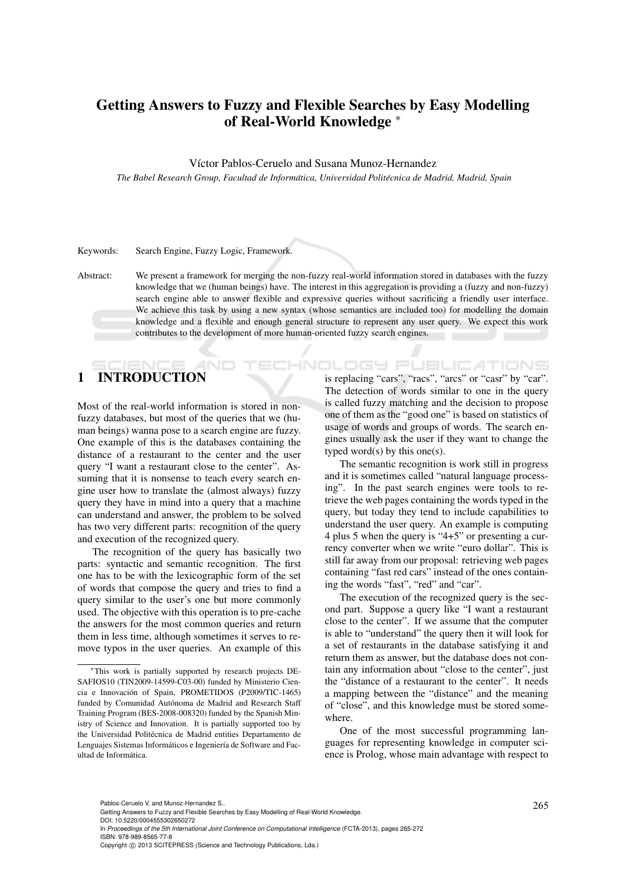## Getting Answers to Fuzzy and Flexible Searches by Easy Modelling of Real-World Knowledge <sup>∗</sup>

Víctor Pablos-Ceruelo and Susana Munoz-Hernandez

*The Babel Research Group, Facultad de Informatica, Universidad Polit ´ ecnica de Madrid, Madrid, Spain ´*

Keywords: Search Engine, Fuzzy Logic, Framework.

# 1 INTRODUCTION

Most of the real-world information is stored in nonfuzzy databases, but most of the queries that we (human beings) wanna pose to a search engine are fuzzy. One example of this is the databases containing the distance of a restaurant to the center and the user query "I want a restaurant close to the center". Assuming that it is nonsense to teach every search engine user how to translate the (almost always) fuzzy query they have in mind into a query that a machine can understand and answer, the problem to be solved has two very different parts: recognition of the query and execution of the recognized query.

The recognition of the query has basically two parts: syntactic and semantic recognition. The first one has to be with the lexicographic form of the set of words that compose the query and tries to find a query similar to the user's one but more commonly used. The objective with this operation is to pre-cache the answers for the most common queries and return them in less time, although sometimes it serves to remove typos in the user queries. An example of this

DGY PUBLIC ATIONS is replacing "cars", "racs", "arcs" or "casr" by "car". The detection of words similar to one in the query is called fuzzy matching and the decision to propose one of them as the "good one" is based on statistics of usage of words and groups of words. The search engines usually ask the user if they want to change the typed word $(s)$  by this one $(s)$ .

The semantic recognition is work still in progress and it is sometimes called "natural language processing". In the past search engines were tools to retrieve the web pages containing the words typed in the query, but today they tend to include capabilities to understand the user query. An example is computing 4 plus 5 when the query is "4+5" or presenting a currency converter when we write "euro dollar". This is still far away from our proposal: retrieving web pages containing "fast red cars" instead of the ones containing the words "fast", "red" and "car".

The execution of the recognized query is the second part. Suppose a query like "I want a restaurant close to the center". If we assume that the computer is able to "understand" the query then it will look for a set of restaurants in the database satisfying it and return them as answer, but the database does not contain any information about "close to the center", just the "distance of a restaurant to the center". It needs a mapping between the "distance" and the meaning of "close", and this knowledge must be stored somewhere.

One of the most successful programming languages for representing knowledge in computer science is Prolog, whose main advantage with respect to

Abstract: We present a framework for merging the non-fuzzy real-world information stored in databases with the fuzzy knowledge that we (human beings) have. The interest in this aggregation is providing a (fuzzy and non-fuzzy) search engine able to answer flexible and expressive queries without sacrificing a friendly user interface. We achieve this task by using a new syntax (whose semantics are included too) for modelling the domain knowledge and a flexible and enough general structure to represent any user query. We expect this work contributes to the development of more human-oriented fuzzy search engines.

<sup>∗</sup>This work is partially supported by research projects DE-SAFIOS10 (TIN2009-14599-C03-00) funded by Ministerio Ciencia e Innovacion of Spain, PROMETIDOS (P2009/TIC-1465) ´ funded by Comunidad Autónoma de Madrid and Research Staff Training Program (BES-2008-008320) funded by the Spanish Ministry of Science and Innovation. It is partially supported too by the Universidad Politécnica de Madrid entities Departamento de Lenguajes Sistemas Informáticos e Ingeniería de Software and Facultad de Informática

Pablos-Ceruelo V. and Munoz-Hernandez S..<br>Getting Answers to Fuzzy and Flexible Searches by Easy Modelling of Real-World Knowledge.

DOI: 10.5220/0004555302650272

In *Proceedings of the 5th International Joint Conference on Computational Intelligence* (FCTA-2013), pages 265-272 ISBN: 978-989-8565-77-8

Copyright © 2013 SCITEPRESS (Science and Technology Publications, Lda.)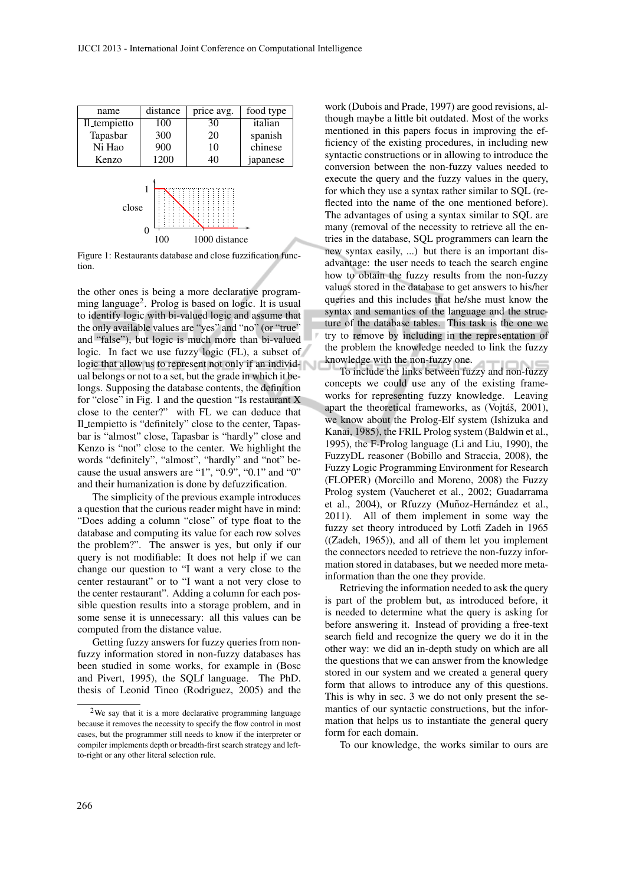| name         | distance | price avg. | food type |
|--------------|----------|------------|-----------|
| Il_tempietto | 100      | 30         | italian   |
| Tapasbar     | 300      | 20         | spanish   |
| Ni Hao       | 900      | 10         | chinese   |
| Kenzo        | 1200     | 40         | japanese  |
| 1<br>close   |          |            |           |

Figure 1: Restaurants database and close fuzzification function.

100 1000 distance

the other ones is being a more declarative programming language<sup>2</sup>. Prolog is based on logic. It is usual to identify logic with bi-valued logic and assume that the only available values are "yes" and "no" (or "true" and "false"), but logic is much more than bi-valued logic. In fact we use fuzzy logic (FL), a subset of logic that allow us to represent not only if an individual belongs or not to a set, but the grade in which it belongs. Supposing the database contents, the definition for "close" in Fig. 1 and the question "Is restaurant X close to the center?" with FL we can deduce that Il tempietto is "definitely" close to the center, Tapasbar is "almost" close, Tapasbar is "hardly" close and Kenzo is "not" close to the center. We highlight the words "definitely", "almost", "hardly" and "not" because the usual answers are "1", "0.9", "0.1" and "0" and their humanization is done by defuzzification.

The simplicity of the previous example introduces a question that the curious reader might have in mind: "Does adding a column "close" of type float to the database and computing its value for each row solves the problem?". The answer is yes, but only if our query is not modifiable: It does not help if we can change our question to "I want a very close to the center restaurant" or to "I want a not very close to the center restaurant". Adding a column for each possible question results into a storage problem, and in some sense it is unnecessary: all this values can be computed from the distance value.

Getting fuzzy answers for fuzzy queries from nonfuzzy information stored in non-fuzzy databases has been studied in some works, for example in (Bosc and Pivert, 1995), the SQLf language. The PhD. thesis of Leonid Tineo (Rodriguez, 2005) and the

work (Dubois and Prade, 1997) are good revisions, although maybe a little bit outdated. Most of the works mentioned in this papers focus in improving the efficiency of the existing procedures, in including new syntactic constructions or in allowing to introduce the conversion between the non-fuzzy values needed to execute the query and the fuzzy values in the query, for which they use a syntax rather similar to SQL (reflected into the name of the one mentioned before). The advantages of using a syntax similar to SQL are many (removal of the necessity to retrieve all the entries in the database, SQL programmers can learn the new syntax easily, ...) but there is an important disadvantage: the user needs to teach the search engine how to obtain the fuzzy results from the non-fuzzy values stored in the database to get answers to his/her queries and this includes that he/she must know the syntax and semantics of the language and the structure of the database tables. This task is the one we try to remove by including in the representation of the problem the knowledge needed to link the fuzzy knowledge with the non-fuzzy one.

To include the links between fuzzy and non-fuzzy concepts we could use any of the existing frameworks for representing fuzzy knowledge. Leaving apart the theoretical frameworks, as (Vojtáš, 2001), we know about the Prolog-Elf system (Ishizuka and Kanai, 1985), the FRIL Prolog system (Baldwin et al., 1995), the F-Prolog language (Li and Liu, 1990), the FuzzyDL reasoner (Bobillo and Straccia, 2008), the Fuzzy Logic Programming Environment for Research (FLOPER) (Morcillo and Moreno, 2008) the Fuzzy Prolog system (Vaucheret et al., 2002; Guadarrama et al., 2004), or Rfuzzy (Muñoz-Hernández et al., 2011). All of them implement in some way the fuzzy set theory introduced by Lotfi Zadeh in 1965 ((Zadeh, 1965)), and all of them let you implement the connectors needed to retrieve the non-fuzzy information stored in databases, but we needed more metainformation than the one they provide.

Retrieving the information needed to ask the query is part of the problem but, as introduced before, it is needed to determine what the query is asking for before answering it. Instead of providing a free-text search field and recognize the query we do it in the other way: we did an in-depth study on which are all the questions that we can answer from the knowledge stored in our system and we created a general query form that allows to introduce any of this questions. This is why in sec. 3 we do not only present the semantics of our syntactic constructions, but the information that helps us to instantiate the general query form for each domain.

To our knowledge, the works similar to ours are

 $2$ We say that it is a more declarative programming language because it removes the necessity to specify the flow control in most cases, but the programmer still needs to know if the interpreter or compiler implements depth or breadth-first search strategy and leftto-right or any other literal selection rule.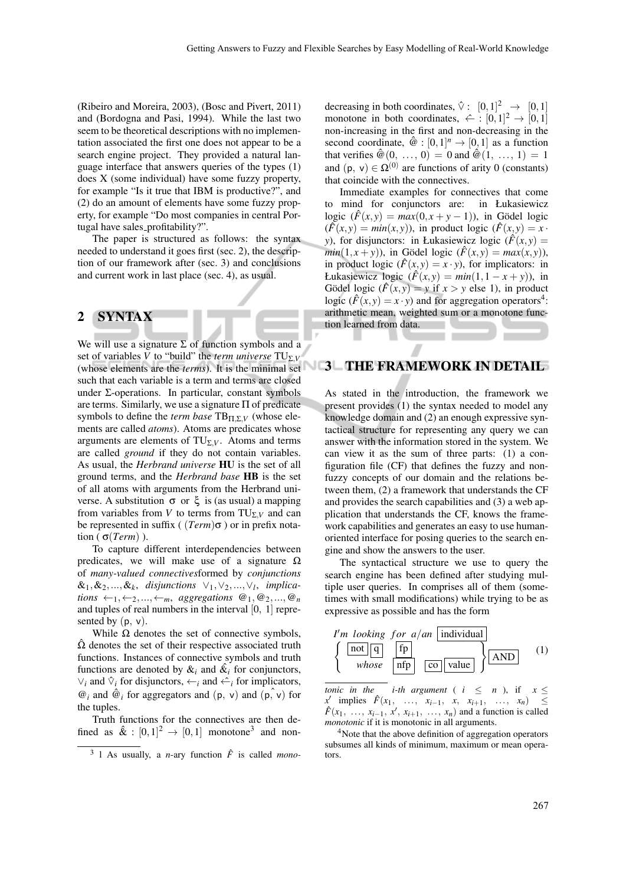(Ribeiro and Moreira, 2003), (Bosc and Pivert, 2011) and (Bordogna and Pasi, 1994). While the last two seem to be theoretical descriptions with no implementation associated the first one does not appear to be a search engine project. They provided a natural language interface that answers queries of the types (1) does X (some individual) have some fuzzy property, for example "Is it true that IBM is productive?", and (2) do an amount of elements have some fuzzy property, for example "Do most companies in central Portugal have sales\_profitability?".

The paper is structured as follows: the syntax needed to understand it goes first (sec. 2), the description of our framework after (sec. 3) and conclusions and current work in last place (sec. 4), as usual.

### 2 SYNTAX

We will use a signature  $\Sigma$  of function symbols and a set of variables *V* to "build" the *term universe*  $TU_{\Sigma,V}$ (whose elements are the *terms*). It is the minimal set such that each variable is a term and terms are closed under  $\Sigma$ -operations. In particular, constant symbols are terms. Similarly, we use a signature  $\Pi$  of predicate symbols to define the *term base* TBΠ,Σ,*<sup>V</sup>* (whose elements are called *atoms*). Atoms are predicates whose arguments are elements of  $TU_{\Sigma,V}$ . Atoms and terms are called *ground* if they do not contain variables. As usual, the *Herbrand universe* HU is the set of all ground terms, and the *Herbrand base* HB is the set of all atoms with arguments from the Herbrand universe. A substitution σ or ξ is (as usual) a mapping from variables from *V* to terms from  $TU_{\Sigma,V}$  and can be represented in suffix ( (*Term*)σ ) or in prefix notation ( σ(*Term*) ).

To capture different interdependencies between predicates, we will make use of a signature  $\Omega$ of *many-valued connectives*formed by *conjunctions*  $\&&_1, \&_2, \ldots, \&_k,$  disjunctions  $\vee_1, \vee_2, \ldots, \vee_l,$  implica $tions \leftarrow_1, \leftarrow_2, ..., \leftarrow_m$ , *aggregations*  $\omega_1, \omega_2, ..., \omega_n$ and tuples of real numbers in the interval [0, 1] represented by  $(p, v)$ .

While  $\Omega$  denotes the set of connective symbols,  $\Omega$  denotes the set of their respective associated truth functions. Instances of connective symbols and truth functions are denoted by  $\ι$  and  $\hat{\ι}$  for conjunctors,  $∨<sub>i</sub>$  and  $\hat∨<sub>i</sub>$  for disjunctors, ←*i* and ←*i* for implicators,  $\mathcal{Q}_i$  and  $\hat{\mathcal{Q}}_i$  for aggregators and  $(p, v)$  and  $(p, v)$  for the tuples.

Truth functions for the connectives are then defined as  $\hat{\&} : [0,1]^2 \rightarrow [0,1]$  monotone<sup>3</sup> and non-

decreasing in both coordinates,  $\hat{v}$ :  $[0,1]^2 \rightarrow [0,1]$ monotone in both coordinates,  $\leftarrow : [0,1]^2 \rightarrow [0,1]$ non-increasing in the first and non-decreasing in the second coordinate,  $\hat{\omega} : [0,1]^n \to [0,1]$  as a function that verifies  $\hat{\varphi}(0, \ldots, 0) = 0$  and  $\hat{\varphi}(1, \ldots, 1) = 1$ and  $(p, v) \in \Omega^{(0)}$  are functions of arity 0 (constants) that coincide with the connectives.

Immediate examples for connectives that come to mind for conjunctors are: in Łukasiewicz logic  $(\hat{F}(x, y)) = max(0, x + y - 1)$ , in Gödel logic  $(\hat{F}(x, y)) = min(x, y)$ , in product logic  $(\hat{F}(x, y)) = x$ . *y*), for disjunctors: in Łukasiewicz logic  $(\hat{F}(x, y))$  =  $min(1, x + y)$ , in Gödel logic  $(\hat{F}(x, y)) = max(x, y)$ , in product logic  $(\hat{F}(x, y) = x \cdot y)$ , for implicators: in Łukasiewicz logic ( $\hat{F}(x, y) = min(1, 1 − x + y)$ ), in Gödel logic  $(\hat{F}(x, y) = y \text{ if } x > y \text{ else } 1)$ , in product logic  $(\hat{F}(x, y) = x \cdot y)$  and for aggregation operators<sup>4</sup>: arithmetic mean, weighted sum or a monotone function learned from data.

#### **3 THE FRAMEWORK IN DETAIL**

As stated in the introduction, the framework we present provides (1) the syntax needed to model any knowledge domain and (2) an enough expressive syntactical structure for representing any query we can answer with the information stored in the system. We can view it as the sum of three parts: (1) a configuration file (CF) that defines the fuzzy and nonfuzzy concepts of our domain and the relations between them, (2) a framework that understands the CF and provides the search capabilities and (3) a web application that understands the CF, knows the framework capabilities and generates an easy to use humanoriented interface for posing queries to the search engine and show the answers to the user.

The syntactical structure we use to query the search engine has been defined after studying multiple user queries. In comprises all of them (sometimes with small modifications) while trying to be as expressive as possible and has the form



*tonic in the i-th argument* (  $i < n$  ), if  $x <$ *x*<sup>*i*</sup> implies  $\hat{F}(x_1, \ldots, x_{i-1}, x, x_{i+1}, \ldots, x_n)$  ≤  $\hat{F}(x_1, \ldots, x_{i-1}, x', x_{i+1}, \ldots, x_n)$  and a function is called *monotonic* if it is monotonic in all arguments.

<sup>4</sup>Note that the above definition of aggregation operators subsumes all kinds of minimum, maximum or mean operators.

 $3 \text{ } 1$  As usually, a *n*-ary function  $\hat{F}$  is called *mono-*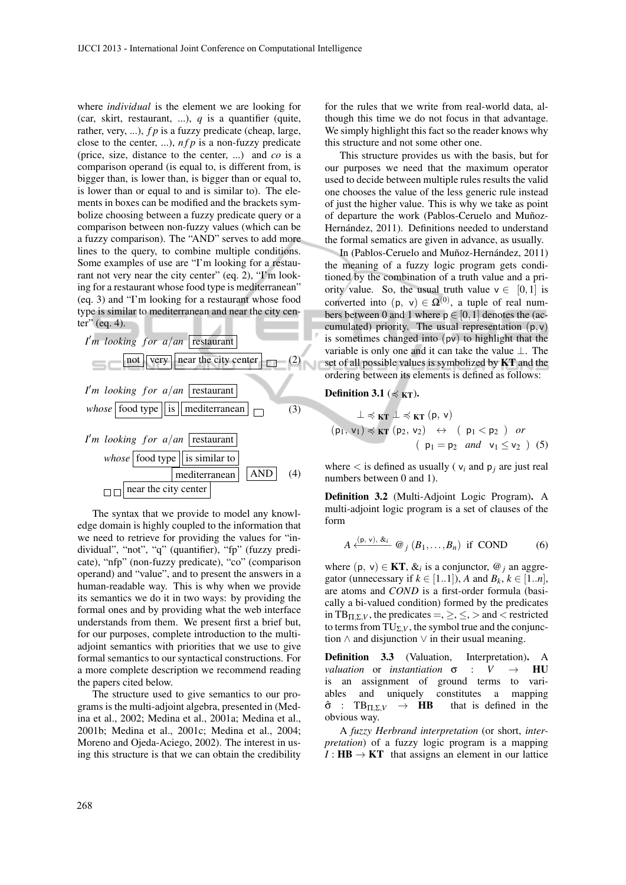where *individual* is the element we are looking for (car, skirt, restaurant, ...), *q* is a quantifier (quite, rather, very, ...), *f p* is a fuzzy predicate (cheap, large, close to the center, ...),  $nfp$  is a non-fuzzy predicate (price, size, distance to the center, ...) and *co* is a comparison operand (is equal to, is different from, is bigger than, is lower than, is bigger than or equal to, is lower than or equal to and is similar to). The elements in boxes can be modified and the brackets symbolize choosing between a fuzzy predicate query or a comparison between non-fuzzy values (which can be a fuzzy comparison). The "AND" serves to add more lines to the query, to combine multiple conditions. Some examples of use are "I'm looking for a restaurant not very near the city center" (eq. 2), "I'm looking for a restaurant whose food type is mediterranean" (eq. 3) and "I'm looking for a restaurant whose food type is similar to mediterranean and near the city center" (eq. 4).



The syntax that we provide to model any knowledge domain is highly coupled to the information that we need to retrieve for providing the values for "individual", "not", "q" (quantifier), "fp" (fuzzy predicate), "nfp" (non-fuzzy predicate), "co" (comparison operand) and "value", and to present the answers in a human-readable way. This is why when we provide its semantics we do it in two ways: by providing the formal ones and by providing what the web interface understands from them. We present first a brief but, for our purposes, complete introduction to the multiadjoint semantics with priorities that we use to give formal semantics to our syntactical constructions. For a more complete description we recommend reading the papers cited below.

The structure used to give semantics to our programs is the multi-adjoint algebra, presented in (Medina et al., 2002; Medina et al., 2001a; Medina et al., 2001b; Medina et al., 2001c; Medina et al., 2004; Moreno and Ojeda-Aciego, 2002). The interest in using this structure is that we can obtain the credibility for the rules that we write from real-world data, although this time we do not focus in that advantage. We simply highlight this fact so the reader knows why this structure and not some other one.

This structure provides us with the basis, but for our purposes we need that the maximum operator used to decide between multiple rules results the valid one chooses the value of the less generic rule instead of just the higher value. This is why we take as point of departure the work (Pablos-Ceruelo and Muñoz-Hernández, 2011). Definitions needed to understand the formal sematics are given in advance, as usually.

In (Pablos-Ceruelo and Muñoz-Hernández, 2011) the meaning of a fuzzy logic program gets conditioned by the combination of a truth value and a priority value. So, the usual truth value  $v \in [0,1]$  is converted into  $(p, v) \in \Omega^{(0)}$ , a tuple of real numbers between 0 and 1 where  $p \in [0,1]$  denotes the (accumulated) priority. The usual representation  $(p, v)$ is sometimes changed into (pv) to highlight that the variable is only one and it can take the value ⊥. The set of all possible values is symbolized by KT and the ordering between its elements is defined as follows:

Definition 3.1 (
$$
\leq
$$
  $\text{KT}$ ).

$$
\perp \preccurlyeq \kappa \mathbf{r} \perp \preccurlyeq \kappa \mathbf{r} \ (\mathsf{p}, \mathsf{v})
$$
\n
$$
(\mathsf{p}_1, \mathsf{v}_1) \preccurlyeq \kappa \mathbf{r} \ (\mathsf{p}_2, \mathsf{v}_2) \leftrightarrow (\mathsf{p}_1 < \mathsf{p}_2) \ \text{or}
$$
\n
$$
(\mathsf{p}_1 = \mathsf{p}_2 \ \text{and} \ \mathsf{v}_1 \leq \mathsf{v}_2) \ (5)
$$

where  $\lt$  is defined as usually ( $v_i$  and  $p_j$  are just real numbers between 0 and 1).

Definition 3.2 (Multi-Adjoint Logic Program). A multi-adjoint logic program is a set of clauses of the form

*A* (p, <sup>v</sup>), &*<sup>i</sup>* ←−−−−− @*<sup>j</sup>* (*B*1,...,*Bn*) if COND (6)

where  $(p, v) \in KT$ ,  $\&i_i$  is a conjunctor,  $@j$  an aggregator (unnecessary if  $k \in [1..1]$ ), *A* and  $B_k$ ,  $k \in [1..n]$ , are atoms and *COND* is a first-order formula (basically a bi-valued condition) formed by the predicates in TB $\Pi_{\Sigma,V}$ , the predicates =,  $\geq$ ,  $\leq$ ,  $>$  and  $<$  restricted to terms from  $TU_{\Sigma,V}$ , the symbol true and the conjunction  $\land$  and disjunction  $\lor$  in their usual meaning.

Definition 3.3 (Valuation, Interpretation). A *valuation* or *instantiation*  $\sigma$  :  $V \rightarrow HU$ is an assignment of ground terms to variables and uniquely constitutes a mapping  $\hat{\sigma}$  : TB<sub>ILE,*V*</sub>  $\rightarrow$  **HB** that is defined in the obvious way.

A *fuzzy Herbrand interpretation* (or short, *interpretation*) of a fuzzy logic program is a mapping  $I: \mathbf{HB} \rightarrow \mathbf{KT}$  that assigns an element in our lattice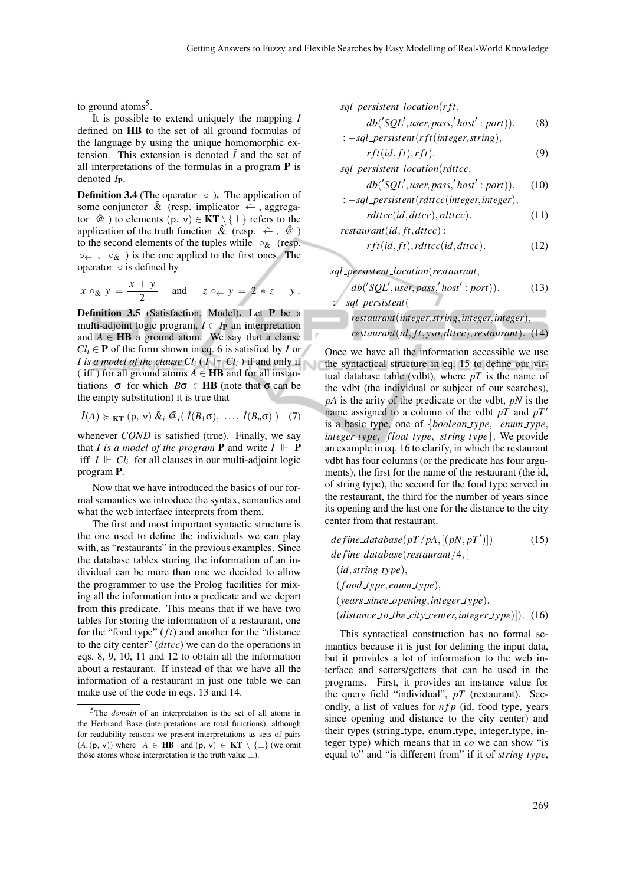to ground atoms<sup>5</sup>.

It is possible to extend uniquely the mapping *I* defined on HB to the set of all ground formulas of the language by using the unique homomorphic extension. This extension is denoted  $\hat{I}$  and the set of all interpretations of the formulas in a program  $P$  is denoted *I*P.

**Definition 3.4** (The operator  $\circ$  ). The application of some conjunctor  $\bar{\&}$  (resp. implicator  $\leftarrow$  , aggregator  $\bar{\omega}$  ) to elements  $(p, v) \in KT \setminus {\bot}$  refers to the application of the truth function  $\hat{\&}$  (resp.  $\leftarrow$ ,  $\hat{\&}$ ) to the second elements of the tuples while  $\circ_{\&}$  (resp.  $\circ_{\leftarrow}$ ,  $\circ_{\&}$  ) is the one applied to the first ones. The operator  $\circ$  is defined by

$$
x \circ_{\&} y = \frac{x + y}{2} \quad \text{and} \quad z \circ_{\leftarrow} y = 2 * z - y.
$$

Definition 3.5 (Satisfaction, Model). Let P be a multi-adjoint logic program,  $I \in I_P$  an interpretation and  $A \in \mathbf{HB}$  a ground atom. We say that a clause  $Cl_i \in \mathbf{P}$  of the form shown in eq. 6 is satisfied by *I* or *I* is a model of the clause  $Cl_i$  ( $\overline{I} \Vdash Cl_i$ ) if and only if ( iff ) for all ground atoms  $A \in \mathbf{HB}$  and for all instantiations  $\sigma$  for which  $B\sigma \in HB$  (note that  $\sigma$  can be the empty substitution) it is true that

$$
\hat{I}(A) \succcurlyeq_{\mathbf{KT}} (\mathsf{p}, \mathsf{v}) \bar{\mathcal{R}}_i \bar{\mathcal{Q}}_i (\hat{I}(B_1 \sigma), \ldots, \hat{I}(B_n \sigma)) \quad (7)
$$

whenever *COND* is satisfied (true). Finally, we say that *I* is a model of the program **P** and write  $I \Vdash \mathbf{P}$ iff  $I \Vdash Cl_i$  for all clauses in our multi-adjoint logic program P.

Now that we have introduced the basics of our formal semantics we introduce the syntax, semantics and what the web interface interprets from them.

The first and most important syntactic structure is the one used to define the individuals we can play with, as "restaurants" in the previous examples. Since the database tables storing the information of an individual can be more than one we decided to allow the programmer to use the Prolog facilities for mixing all the information into a predicate and we depart from this predicate. This means that if we have two tables for storing the information of a restaurant, one for the "food type" (*ft*) and another for the "distance to the city center" (*dttcc*) we can do the operations in eqs. 8, 9, 10, 11 and 12 to obtain all the information about a restaurant. If instead of that we have all the information of a restaurant in just one table we can make use of the code in eqs. 13 and 14.

$$
sql\_persistent\_location(rft,
$$

$$
db('SQL', user, pass', host': port)
$$
. (8)  
:-*sal-persistent(rft(integer, string)*,

$$
rft(id, ft), rft.
$$
 (9)

*sql persistent location*(*rdttcc*,

$$
db('SQL', user, pass', host': port)).
$$
 (10)  

$$
:-sql\_persistent(rdttcc(integer, integer),
$$

$$
rdttcc(id,dttcc),rdttcc).
$$
 (11)

$$
restaurant(id,ft,dttcc):-
$$

$$
rft(id, ft), rdttcc(id, dttcc).
$$
 (12)

*sql persistent location*(*restaurant*,

$$
db('SQL', user, pass', host': port)).
$$
\n
$$
:-sql\_persistent(
$$

$$
restaurant(integer, string, integer, integer),restaurant(id, ft, yso, dttcc), restaurant). (14)
$$

Once we have all the information accessible we use the syntactical structure in eq. 15 to define our virtual database table (vdbt), where  $pT$  is the name of the vdbt (the individual or subject of our searches), *pA* is the arity of the predicate or the vdbt, *pN* is the name assigned to a column of the vdbt  $pT$  and  $pT'$ is a basic type, one of {*boolean type*, *enum type*, *integer type*, *f loat type*, *string type*}. We provide an example in eq. 16 to clarify, in which the restaurant vdbt has four columns (or the predicate has four arguments), the first for the name of the restaurant (the id, of string type), the second for the food type served in the restaurant, the third for the number of years since its opening and the last one for the distance to the city center from that restaurant.

$$
define\_database(pT/pA, [(pN, pT')])
$$
\n
$$
define\_database( restaurant/4, [
$$
\n
$$
(id, string_type),
$$
\n
$$
(food_type, enum_type),
$$
\n
$$
(years\_since\_opening, integer_type),
$$
\n
$$
(distance to the citycenter, integer_type)]). (16)
$$

This syntactical construction has no formal semantics because it is just for defining the input data, but it provides a lot of information to the web interface and setters/getters that can be used in the programs. First, it provides an instance value for the query field "individual", *pT* (restaurant). Secondly, a list of values for *nfp* (id, food type, years since opening and distance to the city center) and their types (string type, enum type, integer type, integer type) which means that in *co* we can show "is equal to" and "is different from" if it of *string type*,

<sup>5</sup>The *domain* of an interpretation is the set of all atoms in the Herbrand Base (interpretations are total functions), although for readability reasons we present interpretations as sets of pairs  $(A, (p, v))$  where  $A \in \mathbf{HB}$  and  $(p, v) \in \mathbf{KT} \setminus \{\perp\}$  (we omit those atoms whose interpretation is the truth value  $\perp$ ).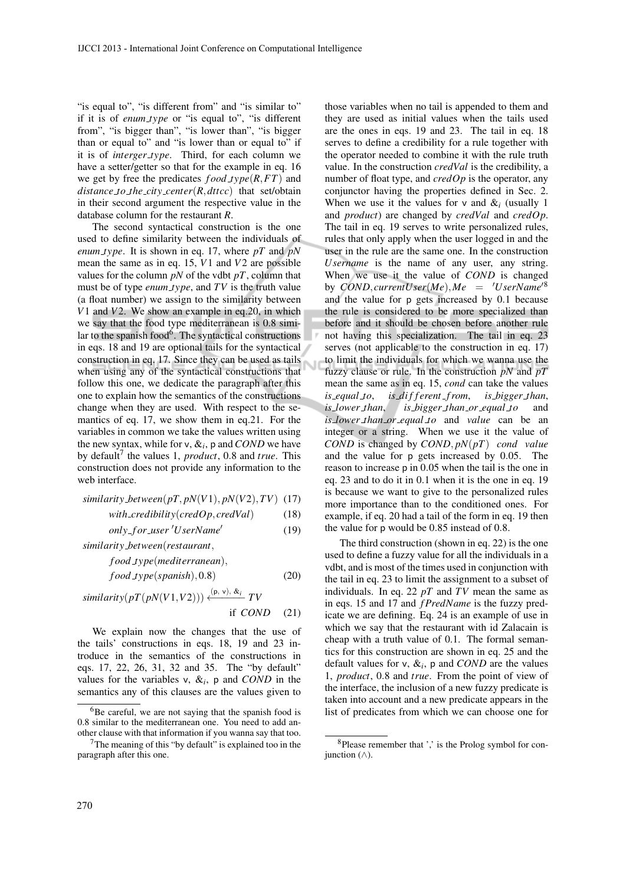"is equal to", "is different from" and "is similar to" if it is of *enum type* or "is equal to", "is different from", "is bigger than", "is lower than", "is bigger than or equal to" and "is lower than or equal to" if it is of *interger type*. Third, for each column we have a setter/getter so that for the example in eq. 16 we get by free the predicates *f ood type*(*R*,*FT*) and *distance to the city center*(*R*,*dttcc*) that set/obtain in their second argument the respective value in the database column for the restaurant *R*.

The second syntactical construction is the one used to define similarity between the individuals of *enum type*. It is shown in eq. 17, where *pT* and *pN* mean the same as in eq. 15, *V*1 and *V*2 are possible values for the column *pN* of the vdbt *pT*, column that must be of type *enum type*, and *TV* is the truth value (a float number) we assign to the similarity between *V*1 and *V*2. We show an example in eq.20, in which we say that the food type mediterranean is 0.8 similar to the spanish food<sup>6</sup>. The syntactical constructions in eqs. 18 and 19 are optional tails for the syntactical construction in eq. 17. Since they can be used as tails when using any of the syntactical constructions that follow this one, we dedicate the paragraph after this one to explain how the semantics of the constructions change when they are used. With respect to the semantics of eq. 17, we show them in eq.21. For the variables in common we take the values written using the new syntax, while for v, &*<sup>i</sup>* , p and *COND* we have by default<sup>7</sup> the values 1, *product*, 0.8 and *true*. This construction does not provide any information to the web interface.

$$
similarity\text{ between}(p), pN(V1), pN(V2), TV)
$$
 (17)

*with credibility*(*credOp*, *credVal*) (18)

(19)

$$
similarity\_between (restaurant,
$$

*only\_for\_user* 'UserName'

$$
food_type(mediterranean),food_type(spanish),0.8)
$$
 (20)

 $simplify(pT(pN(V1,V2))) \xleftarrow{(p, v), \&i} TV$ if *COND* (21)

We explain now the changes that the use of the tails' constructions in eqs. 18, 19 and [23](#page-6-0) introduce in the semantics of the constructions in eqs. 17, [22,](#page-7-0) [26,](#page-7-1) [31,](#page-6-1) [32](#page-7-2) and [35.](#page-6-2) The "by default" values for the variables  $v$ ,  $\&i$ <sub>i</sub>,  $p$  and *COND* in the semantics any of this clauses are the values given to

those variables when no tail is appended to them and they are used as initial values when the tails used are the ones in eqs. 19 and [23.](#page-6-0) The tail in eq. 18 serves to define a credibility for a rule together with the operator needed to combine it with the rule truth value. In the construction *credVal* is the credibility, a number of float type, and *credOp* is the operator, any conjunctor having the properties defined in Sec. 2. When we use it the values for  $\vee$  and  $\&mathcal{X}_i$  (usually 1 and *product*) are changed by *credVal* and *credOp*. The tail in eq. 19 serves to write personalized rules, rules that only apply when the user logged in and the user in the rule are the same one. In the construction *Username* is the name of any user, any string. When we use it the value of *COND* is changed by *COND*, *currentUser*(*Me*), *Me* =  $'U$ *serName*<sup>8</sup> and the value for p gets increased by 0.1 because the rule is considered to be more specialized than before and it should be chosen before another rule not having this specialization. The tail in eq. [23](#page-6-0) serves (not applicable to the construction in eq. 17) to limit the individuals for which we wanna use the fuzzy clause or rule. In the construction *pN* and *pT* mean the same as in eq. 15, *cond* can take the values is equal to, is different from, is bigger than. *is equal to*, *is different from*, *is lower than*, *is bigger than or equal to* and *is lower than or equal to* and *value* can be an integer or a string. When we use it the value of *COND* is changed by *COND*, *pN*(*pT*) *cond value* and the value for p gets increased by 0.05. The reason to increase p in 0.05 when the tail is the one in eq. [23](#page-6-0) and to do it in 0.1 when it is the one in eq. 19 is because we want to give to the personalized rules more importance than to the conditioned ones. For example, if eq. 20 had a tail of the form in eq. 19 then the value for p would be 0.85 instead of 0.8.

The third construction (shown in eq. [22\)](#page-7-0) is the one used to define a fuzzy value for all the individuals in a vdbt, and is most of the times used in conjunction with the tail in eq. [23](#page-6-0) to limit the assignment to a subset of individuals. In eq. [22](#page-7-0) *pT* and *TV* mean the same as in eqs. 15 and 17 and *f PredName* is the fuzzy predicate we are defining. Eq. [24](#page-6-3) is an example of use in which we say that the restaurant with id Zalacain is cheap with a truth value of 0.1. The formal semantics for this construction are shown in eq. [25](#page-7-3) and the default values for v, &*<sup>i</sup>* , p and *COND* are the values 1, *product*, 0.8 and *true*. From the point of view of the interface, the inclusion of a new fuzzy predicate is taken into account and a new predicate appears in the list of predicates from which we can choose one for

 ${}^{6}$ Be careful, we are not saying that the spanish food is 0.8 similar to the mediterranean one. You need to add another clause with that information if you wanna say that too.

 $7$ The meaning of this "by default" is explained too in the paragraph after this one.

<sup>8</sup>Please remember that ',' is the Prolog symbol for conjunction  $($  $\wedge$ ).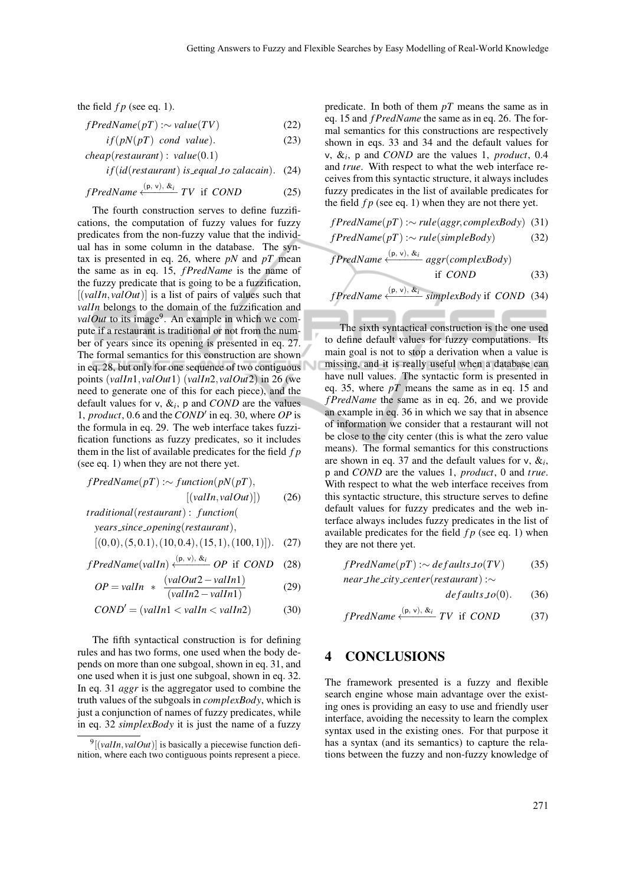the field  $fp$  (see eq. 1).

$$
fPredName(pT) : \sim value(TV) \tag{22}
$$

$$
if(pN(pT) \text{ cond value}). \tag{23}
$$

*cheap*(*restaurant*) : *value*(0.1)

$$
if(id(restaurant) is\_equal\_to\_valacain).
$$
 (24)

$$
fPredName \xleftarrow{(p, v), \&i} TV \text{ if } COD \tag{25}
$$

The fourth construction serves to define fuzzifications, the computation of fuzzy values for fuzzy predicates from the non-fuzzy value that the individual has in some column in the database. The syntax is presented in eq. [26,](#page-7-1) where *pN* and *pT* mean the same as in eq. 15, *f PredName* is the name of the fuzzy predicate that is going to be a fuzzification,  $[(valln, valOut)]$  is a list of pairs of values such that *valIn* belongs to the domain of the fuzzification and valOut to its image<sup>[9](#page-7-4)</sup>. An example in which we compute if a restaurant is traditional or not from the number of years since its opening is presented in eq. [27.](#page-6-4) The formal semantics for this construction are shown in eq. [28,](#page-6-5) but only for one sequence of two contiguous points (*valIn*1, *valOut*1) (*valIn*2, *valOut*2) in [26](#page-7-1) (we need to generate one of this for each piece), and the default values for v, &*<sup>i</sup>* , p and *COND* are the values 1, *product*, 0.6 and the *COND'* in eq. [30,](#page-6-6) where *OP* is the formula in eq. [29.](#page-7-5) The web interface takes fuzzification functions as fuzzy predicates, so it includes them in the list of available predicates for the field *f p* (see eq. 1) when they are not there yet.

$$
fPredName(pT) : \sim function(pN(pT),
$$
  
[(valIn,valOut)]) (26)  
traditional(restaurant): function(

*years since opening*(*restaurant*),

$$
[(0,0), (5,0.1), (10,0.4), (15,1), (100,1)]). (27)
$$

$$
fPredName(value) \xleftarrow{(p, v), \&i} OP \text{ if } COD \quad (28)
$$

$$
OP = valln \quad * \quad \frac{(valOut2 - valln1)}{(valIn2 - valln1)} \tag{29}
$$

$$
COND' = (valln1 < valln < valln2) \tag{30}
$$

The fifth syntactical construction is for defining rules and has two forms, one used when the body depends on more than one subgoal, shown in eq. [31,](#page-6-1) and one used when it is just one subgoal, shown in eq. [32.](#page-7-2) In eq. [31](#page-6-1) *aggr* is the aggregator used to combine the truth values of the subgoals in *complexBody*, which is just a conjunction of names of fuzzy predicates, while in eq. [32](#page-7-2) *simplexBody* it is just the name of a fuzzy

<span id="page-6-3"></span><span id="page-6-0"></span>predicate. In both of them *pT* means the same as in eq. 15 and *f PredName* the same as in eq. [26.](#page-7-1) The formal semantics for this constructions are respectively shown in eqs. [33](#page-7-6) and [34](#page-7-7) and the default values for v, &*<sup>i</sup>* , p and *COND* are the values 1, *product*, 0.4 and *true*. With respect to what the web interface receives from this syntactic structure, it always includes fuzzy predicates in the list of available predicates for the field  $fp$  (see eq. 1) when they are not there yet.

$$
fPredName(pT) : \sim rule (aggr, complexBody) (31)
$$
  

$$
fPredName(pT) : \sim rule (simpleBody) (32)
$$

$$
fPredName \xleftarrow{\langle p, v \rangle, \&i}_{if \text{c} \text{GND}} \text{aggr}(\text{complexBody})
$$

$$
fPredName \xleftarrow{(p, v), \&i} simplexBody \text{ if } COD \text{ (34)}
$$

<span id="page-6-1"></span>**Contract Contract** 

The sixth syntactical construction is the one used to define default values for fuzzy computations. Its main goal is not to stop a derivation when a value is missing, and it is really useful when a database can have null values. The syntactic form is presented in eq. [35,](#page-6-2) where *pT* means the same as in eq. 15 and *f PredName* the same as in eq. [26,](#page-7-1) and we provide an example in eq. [36](#page-7-8) in which we say that in absence of information we consider that a restaurant will not be close to the city center (this is what the zero value means). The formal semantics for this constructions are shown in eq. [37](#page-7-9) and the default values for  $v$ ,  $\&i$ , p and *COND* are the values 1, *product*, 0 and *true*. With respect to what the web interface receives from this syntactic structure, this structure serves to define default values for fuzzy predicates and the web interface always includes fuzzy predicates in the list of available predicates for the field *f p* (see eq. 1) when they are not there yet.

<span id="page-6-5"></span><span id="page-6-4"></span>
$$
fPredName(pT) : \sim \text{defaults}\ \text{to} (TV) \tag{35}
$$

<span id="page-6-6"></span>*near the city center*(*restaurant*) :∼

<span id="page-6-2"></span> $de$ f *aults*  $\pm o(0)$ . (36)

$$
fPredName \xleftarrow{(p, v), \&i} TV \text{ if } COD \tag{37}
$$

#### 4 CONCLUSIONS

The framework presented is a fuzzy and flexible search engine whose main advantage over the existing ones is providing an easy to use and friendly user interface, avoiding the necessity to learn the complex syntax used in the existing ones. For that purpose it has a syntax (and its semantics) to capture the relations between the fuzzy and non-fuzzy knowledge of

<sup>9</sup> [(*valIn*, *valOut*)] is basically a piecewise function definition, where each two contiguous points represent a piece.